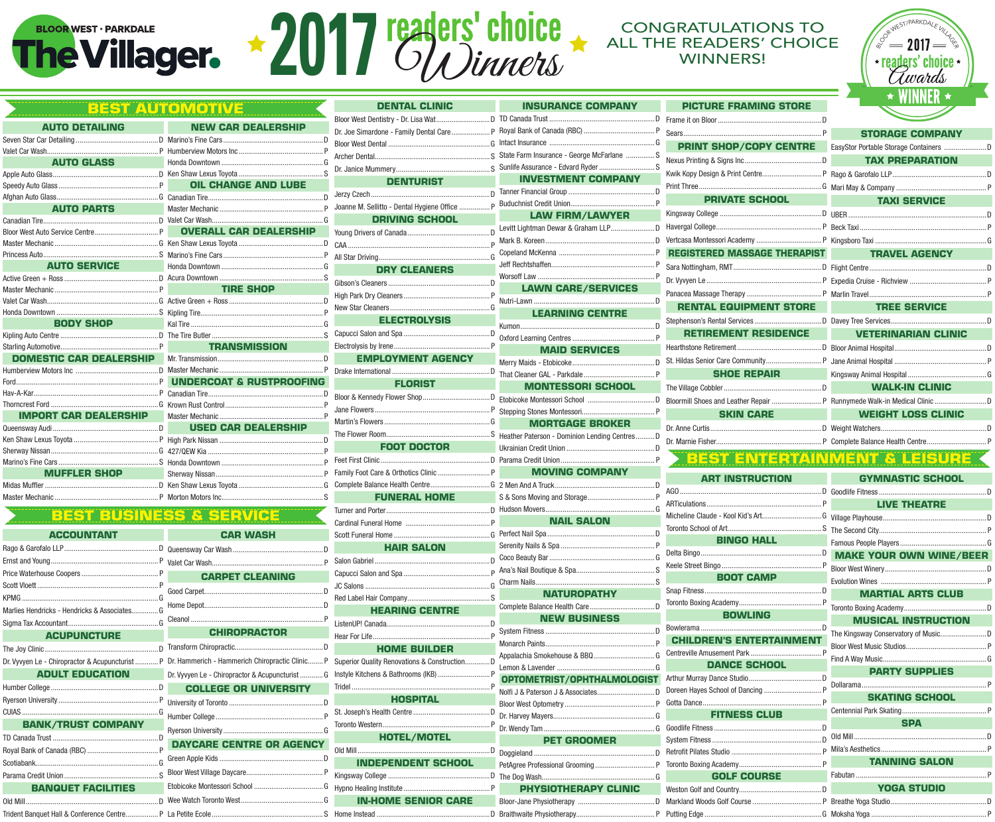# **2017 TEARETS' CHOICE** ALL THE READERS' CHOICE



|                                                   | <b>BEST AUTOMOTIVE</b>                                      |
|---------------------------------------------------|-------------------------------------------------------------|
| <b>Contract Contract</b><br><b>AUTO DETAILING</b> | <b>NEW CAR DEALERSHIP</b>                                   |
|                                                   |                                                             |
|                                                   |                                                             |
|                                                   |                                                             |
|                                                   |                                                             |
|                                                   |                                                             |
|                                                   |                                                             |
|                                                   | <b>AUTO PARTS</b> Master Mechanic <b>Construction PARTS</b> |
|                                                   |                                                             |
|                                                   |                                                             |
|                                                   |                                                             |
|                                                   |                                                             |
|                                                   |                                                             |
|                                                   |                                                             |
|                                                   | <b>TIRE SHOP</b>                                            |
|                                                   |                                                             |
|                                                   |                                                             |
|                                                   |                                                             |
|                                                   |                                                             |
|                                                   | <b>TRANSMISSION</b>                                         |
|                                                   |                                                             |
|                                                   |                                                             |
|                                                   |                                                             |
|                                                   |                                                             |
|                                                   |                                                             |
|                                                   |                                                             |
|                                                   | <b>USED CAR DEALERSHIP</b>                                  |
|                                                   |                                                             |
|                                                   |                                                             |
|                                                   |                                                             |
|                                                   |                                                             |
|                                                   |                                                             |
|                                                   |                                                             |

## **Best Business & service**

|                                             |                                                                                                 | Gardinal Fune        |
|---------------------------------------------|-------------------------------------------------------------------------------------------------|----------------------|
| <b>ACCOUNTANT</b>                           | <b>CAR WASH</b>                                                                                 | <b>Scott Funeral</b> |
|                                             |                                                                                                 |                      |
|                                             |                                                                                                 | Salon Gabriel        |
|                                             | <b>CARPET CLEANING</b>                                                                          | Capucci Salor        |
|                                             |                                                                                                 | JC Salons            |
|                                             |                                                                                                 | Red Label Hai        |
| Marlies Hendricks - Hendricks & AssociatesG |                                                                                                 | ŀ                    |
|                                             | <b>CHIROPRACTOR</b>                                                                             | ListenUP! Can        |
| <b>ACUPUNCTURE</b>                          |                                                                                                 | Hear For Life.       |
|                                             |                                                                                                 |                      |
|                                             | Dr. Vyvyen Le - Chiropractor & Acupuncturist  P Dr. Hammerich - Hammerich Chiropractic Clinic P | <b>Superior Qual</b> |
| <b>ADULT EDUCATION</b>                      | Dr. Vyvyen Le - Chiropractor & Acupuncturist  G                                                 | Instyle Kitcher      |
|                                             | <b>COLLEGE OR UNIVERSITY</b>                                                                    | Tridel               |
|                                             |                                                                                                 |                      |
|                                             |                                                                                                 | St. Joseph's H       |
| <b>BANK/TRUST COMPANY</b>                   |                                                                                                 | <b>Toronto Weste</b> |
|                                             | <b>DAYCARE CENTRE OR AGENCY</b>                                                                 |                      |
|                                             |                                                                                                 | $Old$ Mill           |
|                                             |                                                                                                 | <b>IND</b>           |
|                                             |                                                                                                 | Kingsway Coll        |
| <b>BANQUET FACILITIES</b>                   |                                                                                                 | <b>Hypno Healing</b> |
|                                             |                                                                                                 | IN-F                 |
| Trident Banguet Hall & Conference Centre    | P La Petite Frole <b>Canadian Community Community</b> S Home Instead                            |                      |

Trident Banquet Hall & Conference Centre................. P La Petite Ecole.......................................................... S

|             | <b>DENTAL CLINIC</b>                          |  |
|-------------|-----------------------------------------------|--|
| P.          |                                               |  |
| D           | Dr. Joe Simardone - Family Dental Care P      |  |
| P           |                                               |  |
| G           |                                               |  |
| S           |                                               |  |
| E           | <b>DENTURIST</b>                              |  |
| D           |                                               |  |
| P           | Joanne M. Sellitto - Dental Hygiene Office  P |  |
| G           | DRIVING SCHOOL <b>SECTION</b>                 |  |
| HIP         |                                               |  |
| D           |                                               |  |
| P           |                                               |  |
| G<br>S      | <b>DRY CLEANERS</b>                           |  |
|             |                                               |  |
| D           |                                               |  |
| P           |                                               |  |
| G           | <b>ELECTROLYSIS</b>                           |  |
| S           |                                               |  |
|             |                                               |  |
| D           | <b>EMPLOYMENT AGENCY</b>                      |  |
| P           |                                               |  |
| <b>FING</b> | <b>FLORIST</b>                                |  |
| D           |                                               |  |
| P           |                                               |  |
| P<br>P      |                                               |  |
| D           |                                               |  |
| P           | <b>FOOT DOCTOR</b>                            |  |
| P           |                                               |  |
| P           |                                               |  |
| G           |                                               |  |
| S           | <b>FUNERAL HOME</b>                           |  |
|             |                                               |  |
|             |                                               |  |
|             |                                               |  |
| D           | <b>HAIR SALON</b>                             |  |
| P           |                                               |  |
|             |                                               |  |
| D           |                                               |  |
| D           |                                               |  |
|             | <b>HEARING CENTRE</b>                         |  |
| P           |                                               |  |
|             |                                               |  |
| D           | <b>HOME BUILDER</b>                           |  |
| nic P       | Superior Quality Renovations & Construction D |  |
| G           |                                               |  |
| <b>TY</b>   |                                               |  |
| D           | <b>HOSPITAL</b>                               |  |
| P           |                                               |  |
|             |                                               |  |
| G           | <b>HOTEL/MOTEL</b>                            |  |
| ENCY        |                                               |  |
| D           | <b>INDEPENDENT SCHOOL</b>                     |  |
| P           |                                               |  |
| G           |                                               |  |

| <b>DENTAL CLINIC</b>                   | <b>INSURANCE COMPANY</b>          |  |
|----------------------------------------|-----------------------------------|--|
|                                        |                                   |  |
|                                        |                                   |  |
|                                        |                                   |  |
|                                        |                                   |  |
|                                        |                                   |  |
| <b>DENTURIST</b>                       | <b>INVESTMENT COMPANY</b>         |  |
|                                        |                                   |  |
| M. Sellitto - Dental Hygiene Office  P |                                   |  |
| <b>DRIVING SCHOOL</b>                  | <b>LAW FIRM/LAWYER</b>            |  |
| n n                                    |                                   |  |
|                                        |                                   |  |
|                                        |                                   |  |
| <b>DRY CLEANERS</b>                    |                                   |  |
|                                        | <b>LAWN CARE/SERVICES</b>         |  |
|                                        |                                   |  |
|                                        | <b>LEARNING CENTRE</b>            |  |
| <b>ELECTROLYSIS</b>                    |                                   |  |
|                                        |                                   |  |
|                                        | <b>MAID SERVICES</b>              |  |
| <b>EMPLOYMENT AGENCY</b>               |                                   |  |
|                                        |                                   |  |
| <b>FLORIST</b>                         | <b>MONTESSORI SCHOOL</b>          |  |
|                                        |                                   |  |
|                                        |                                   |  |
|                                        | <b>MORTGAGE BROKER</b>            |  |
|                                        |                                   |  |
| <b>FOOT DOCTOR</b>                     |                                   |  |
|                                        |                                   |  |
|                                        | <b>MOVING COMPANY</b>             |  |
|                                        |                                   |  |
| <b>FUNERAL HOME</b>                    |                                   |  |
|                                        |                                   |  |
|                                        | <b>NAIL SALON</b>                 |  |
|                                        |                                   |  |
| <b>HAIR SALON</b>                      |                                   |  |
|                                        |                                   |  |
|                                        |                                   |  |
|                                        | NATUROPATHY                       |  |
|                                        |                                   |  |
| <b>HEARING CENTRE</b>                  | <b>NEW BUSINESS</b>               |  |
|                                        |                                   |  |
|                                        |                                   |  |
| <b>HOME BUILDER</b>                    |                                   |  |
| or Quality Renovations & ConstructionD | Lemon & Lavender                  |  |
|                                        | OPTOMETRIST/OPHTHALMOLOGIST       |  |
|                                        | Nolfi J & Paterson J & Associates |  |
| <b>HOSPITAL</b>                        |                                   |  |
|                                        |                                   |  |
| <b>HOTEL/MOTEL</b>                     |                                   |  |
|                                        | <b>PET GROOMER</b>                |  |
| <b>INDEPENDENT SCHOOL</b>              |                                   |  |
|                                        |                                   |  |
|                                        | PHYSIOTHERAPY CLINIC              |  |
| <b>IN-HOME SENIOR CARE</b>             |                                   |  |
|                                        |                                   |  |

Braithwaite Physiotherapy......................................... P

|        | <b>PICTURE FRAMING STORE</b>        | <b>MINNEN</b>                                                                                                                                                                                                                        |  |  |
|--------|-------------------------------------|--------------------------------------------------------------------------------------------------------------------------------------------------------------------------------------------------------------------------------------|--|--|
| D      |                                     |                                                                                                                                                                                                                                      |  |  |
| P      |                                     | <b>STORAGE COMPANY</b>                                                                                                                                                                                                               |  |  |
| G      | <b>PRINT SHOP/COPY CENTRE</b>       |                                                                                                                                                                                                                                      |  |  |
| S<br>Ś |                                     | <b>TAX PREPARATION</b>                                                                                                                                                                                                               |  |  |
|        |                                     |                                                                                                                                                                                                                                      |  |  |
| D      |                                     |                                                                                                                                                                                                                                      |  |  |
| P      | <b>PRIVATE SCHOOL</b>               | <b>TAXI SERVICE</b><br><u>a sa sa</u>                                                                                                                                                                                                |  |  |
|        |                                     |                                                                                                                                                                                                                                      |  |  |
| D      |                                     |                                                                                                                                                                                                                                      |  |  |
| D      |                                     |                                                                                                                                                                                                                                      |  |  |
| P      | <b>REGISTERED MASSAGE THERAPIST</b> | <b>TRAVEL AGENCY</b><br><b>CONTRACTOR</b>                                                                                                                                                                                            |  |  |
| P      |                                     |                                                                                                                                                                                                                                      |  |  |
| P      |                                     |                                                                                                                                                                                                                                      |  |  |
| D      |                                     |                                                                                                                                                                                                                                      |  |  |
|        | <b>RENTAL EQUIPMENT STORE</b>       | <b>TREE SERVICE</b>                                                                                                                                                                                                                  |  |  |
| D      |                                     |                                                                                                                                                                                                                                      |  |  |
|        | <b>RETIREMENT RESIDENCE</b>         | <b>VETERINARIAN CLINIC</b>                                                                                                                                                                                                           |  |  |
|        |                                     |                                                                                                                                                                                                                                      |  |  |
| D      |                                     |                                                                                                                                                                                                                                      |  |  |
| P      | <b>SHOE REPAIR</b>                  |                                                                                                                                                                                                                                      |  |  |
|        |                                     | <b>WALK-IN CLINIC</b>                                                                                                                                                                                                                |  |  |
| D      |                                     |                                                                                                                                                                                                                                      |  |  |
| P      | <b>SKIN CARE</b>                    | <b>WEIGHT LOSS CLINIC</b>                                                                                                                                                                                                            |  |  |
| n      |                                     |                                                                                                                                                                                                                                      |  |  |
| D      |                                     |                                                                                                                                                                                                                                      |  |  |
|        |                                     | <u>the alternative control of the second second and second the second second and second second and second second second and second and second and second and second and second and second and second and second and second and s</u> |  |  |

## **Best entertAinment & leisure**

| <b>ART INSTRUCTION</b>          | <b>GYMNASTIC SCHOOL</b>                  |  |  |
|---------------------------------|------------------------------------------|--|--|
|                                 |                                          |  |  |
|                                 | <b>LIVE THEATRE</b><br><b>CONTRACTOR</b> |  |  |
|                                 |                                          |  |  |
|                                 |                                          |  |  |
| <b>BINGO HALL</b>               |                                          |  |  |
|                                 | <b>MAKE YOUR OWN WINE/BEER</b>           |  |  |
|                                 |                                          |  |  |
| <b>BOOT CAMP</b>                |                                          |  |  |
|                                 | <b>MARTIAL ARTS CLUB</b>                 |  |  |
|                                 |                                          |  |  |
| <b>BOWLING</b>                  | <b>MUSICAL INSTRUCTION</b>               |  |  |
|                                 |                                          |  |  |
| <b>CHILDREN'S ENTERTAINMENT</b> |                                          |  |  |
|                                 |                                          |  |  |
| <b>DANCE SCHOOL</b>             | <b>PARTY SUPPLIES</b>                    |  |  |
|                                 |                                          |  |  |
|                                 | <b>SKATING SCHOOL</b>                    |  |  |
|                                 |                                          |  |  |
| <b>FITNESS CLUB</b>             | <b>SPA</b>                               |  |  |
|                                 |                                          |  |  |
|                                 |                                          |  |  |
|                                 |                                          |  |  |
|                                 | <b>TANNING SALON</b>                     |  |  |
| GOLF COURSE <b>STATE</b>        |                                          |  |  |
|                                 |                                          |  |  |
|                                 |                                          |  |  |
|                                 |                                          |  |  |